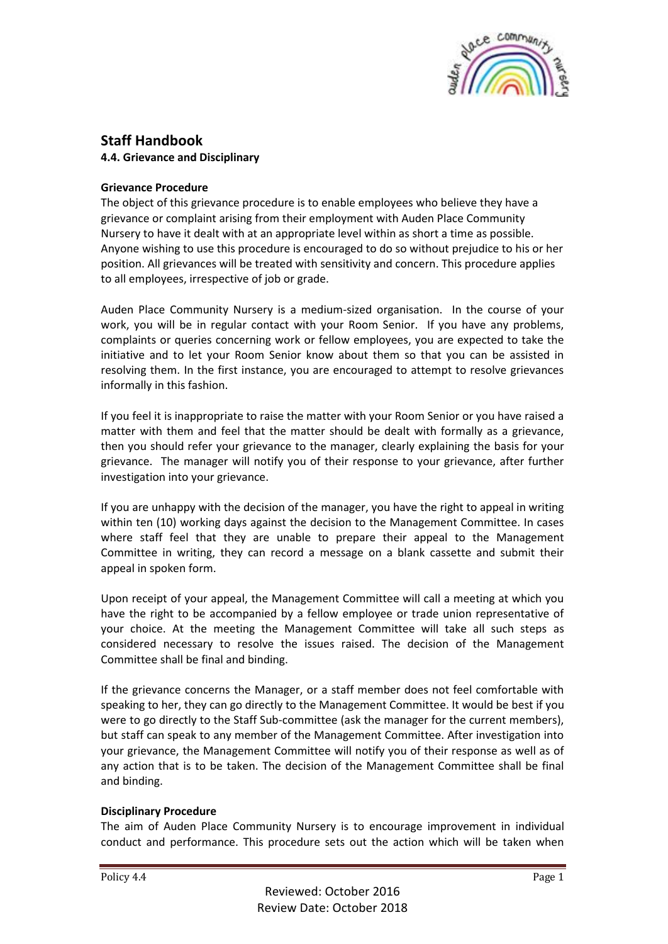

# **Staff Handbook**

**4.4. Grievance and Disciplinary**

## **Grievance Procedure**

The object of this grievance procedure is to enable employees who believe they have a grievance or complaint arising from their employment with Auden Place Community Nursery to have it dealt with at an appropriate level within as short a time as possible. Anyone wishing to use this procedure is encouraged to do so without prejudice to his or her position. All grievances will be treated with sensitivity and concern. This procedure applies to all employees, irrespective of job or grade.

Auden Place Community Nursery is a medium-sized organisation. In the course of your work, you will be in regular contact with your Room Senior. If you have any problems, complaints or queries concerning work or fellow employees, you are expected to take the initiative and to let your Room Senior know about them so that you can be assisted in resolving them. In the first instance, you are encouraged to attempt to resolve grievances informally in this fashion.

If you feel it is inappropriate to raise the matter with your Room Senior or you have raised a matter with them and feel that the matter should be dealt with formally as a grievance, then you should refer your grievance to the manager, clearly explaining the basis for your grievance. The manager will notify you of their response to your grievance, after further investigation into your grievance.

If you are unhappy with the decision of the manager, you have the right to appeal in writing within ten (10) working days against the decision to the Management Committee. In cases where staff feel that they are unable to prepare their appeal to the Management Committee in writing, they can record a message on a blank cassette and submit their appeal in spoken form.

Upon receipt of your appeal, the Management Committee will call a meeting at which you have the right to be accompanied by a fellow employee or trade union representative of your choice. At the meeting the Management Committee will take all such steps as considered necessary to resolve the issues raised. The decision of the Management Committee shall be final and binding.

If the grievance concerns the Manager, or a staff member does not feel comfortable with speaking to her, they can go directly to the Management Committee. It would be best if you were to go directly to the Staff Sub-committee (ask the manager for the current members), but staff can speak to any member of the Management Committee. After investigation into your grievance, the Management Committee will notify you of their response as well as of any action that is to be taken. The decision of the Management Committee shall be final and binding.

#### **Disciplinary Procedure**

The aim of Auden Place Community Nursery is to encourage improvement in individual conduct and performance. This procedure sets out the action which will be taken when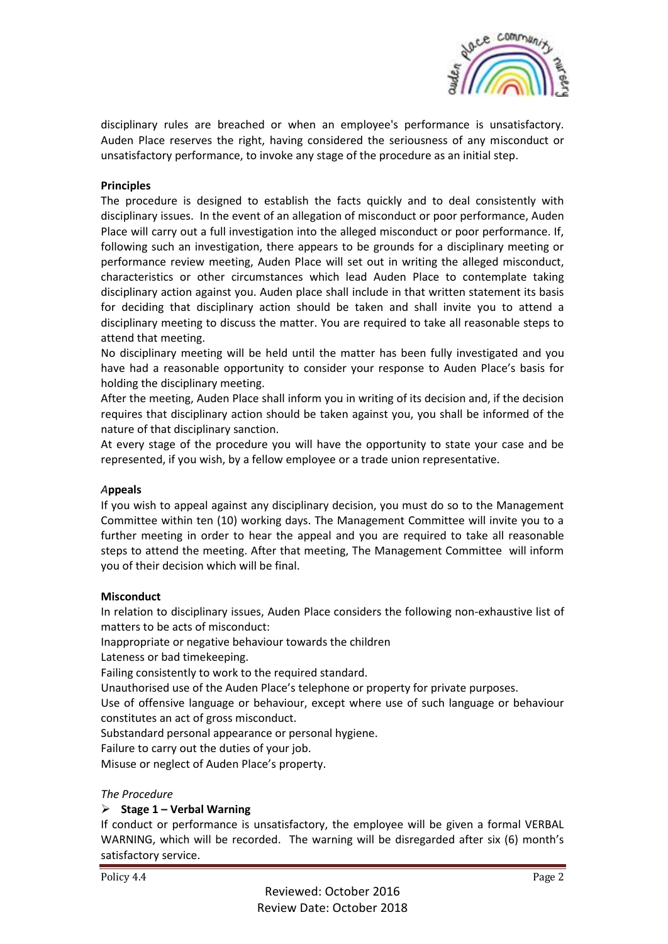

disciplinary rules are breached or when an employee's performance is unsatisfactory. Auden Place reserves the right, having considered the seriousness of any misconduct or unsatisfactory performance, to invoke any stage of the procedure as an initial step.

#### **Principles**

The procedure is designed to establish the facts quickly and to deal consistently with disciplinary issues. In the event of an allegation of misconduct or poor performance, Auden Place will carry out a full investigation into the alleged misconduct or poor performance. If, following such an investigation, there appears to be grounds for a disciplinary meeting or performance review meeting, Auden Place will set out in writing the alleged misconduct, characteristics or other circumstances which lead Auden Place to contemplate taking disciplinary action against you. Auden place shall include in that written statement its basis for deciding that disciplinary action should be taken and shall invite you to attend a disciplinary meeting to discuss the matter. You are required to take all reasonable steps to attend that meeting.

No disciplinary meeting will be held until the matter has been fully investigated and you have had a reasonable opportunity to consider your response to Auden Place's basis for holding the disciplinary meeting.

After the meeting, Auden Place shall inform you in writing of its decision and, if the decision requires that disciplinary action should be taken against you, you shall be informed of the nature of that disciplinary sanction.

At every stage of the procedure you will have the opportunity to state your case and be represented, if you wish, by a fellow employee or a trade union representative.

#### *A***ppeals**

If you wish to appeal against any disciplinary decision, you must do so to the Management Committee within ten (10) working days. The Management Committee will invite you to a further meeting in order to hear the appeal and you are required to take all reasonable steps to attend the meeting. After that meeting, The Management Committee will inform you of their decision which will be final.

#### **Misconduct**

In relation to disciplinary issues, Auden Place considers the following non-exhaustive list of matters to be acts of misconduct:

Inappropriate or negative behaviour towards the children

Lateness or bad timekeeping.

Failing consistently to work to the required standard.

Unauthorised use of the Auden Place's telephone or property for private purposes.

Use of offensive language or behaviour, except where use of such language or behaviour constitutes an act of gross misconduct.

Substandard personal appearance or personal hygiene.

Failure to carry out the duties of your job.

Misuse or neglect of Auden Place's property.

#### *The Procedure*

## ➢ **Stage 1 – Verbal Warning**

If conduct or performance is unsatisfactory, the employee will be given a formal VERBAL WARNING, which will be recorded. The warning will be disregarded after six (6) month's satisfactory service.